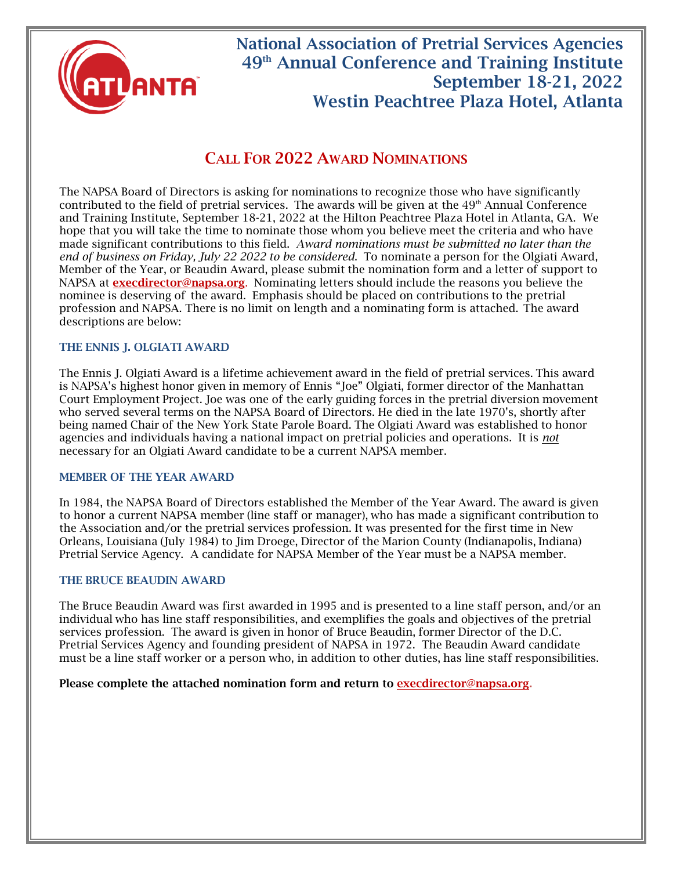

## National Association of Pretrial Services Agencies 49th Annual Conference and Training Institute September 18-21, 2022 Westin Peachtree Plaza Hotel, Atlanta

### CALL FOR 2022 AWARD NOMINATIONS

The NAPSA Board of Directors is asking for nominations to recognize those who have significantly contributed to the field of pretrial services. The awards will be given at the  $49<sup>th</sup>$  Annual Conference and Training Institute, September 18-21, 2022 at the Hilton Peachtree Plaza Hotel in Atlanta, GA. We hope that you will take the time to nominate those whom you believe meet the criteria and who have made significant contributions to this field. *Award nominations must be submitted no later than the end of business on Friday, July 22 2022 to be considered*. To nominate a person for the Olgiati Award, Member of the Year, or Beaudin Award, please submit the nomination form and a letter of support to NAPSA at execdirector@napsa.org. Nominating letters should include the reasons you believe the nominee is deserving of the award. Emphasis should be placed on contributions to the pretrial profession and NAPSA. There is no limit on length and a nominating form is attached. The award descriptions are below:

#### THE ENNIS J. OLGIATI AWARD

The Ennis J. Olgiati Award is a lifetime achievement award in the field of pretrial services. This award is NAPSA's highest honor given in memory of Ennis "Joe" Olgiati, former director of the Manhattan Court Employment Project. Joe was one of the early guiding forces in the pretrial diversion movement who served several terms on the NAPSA Board of Directors. He died in the late 1970's, shortly after being named Chair of the New York State Parole Board. The Olgiati Award was established to honor agencies and individuals having a national impact on pretrial policies and operations. It is *not* necessary for an Olgiati Award candidate to be a current NAPSA member.

#### MEMBER OF THE YEAR AWARD

In 1984, the NAPSA Board of Directors established the Member of the Year Award. The award is given to honor a current NAPSA member (line staff or manager), who has made a significant contribution to the Association and/or the pretrial services profession. It was presented for the first time in New Orleans, Louisiana (July 1984) to Jim Droege, Director of the Marion County (Indianapolis, Indiana) Pretrial Service Agency. A candidate for NAPSA Member of the Year must be a NAPSA member.

#### THE BRUCE BEAUDIN AWARD

The Bruce Beaudin Award was first awarded in 1995 and is presented to a line staff person, and/or an individual who has line staff responsibilities, and exemplifies the goals and objectives of the pretrial services profession. The award is given in honor of Bruce Beaudin, former Director of the D.C. Pretrial Services Agency and founding president of NAPSA in 1972. The Beaudin Award candidate must be a line staff worker or a person who, in addition to other duties, has line staff responsibilities.

#### Please complete the attached nomination form and return to execdirector@napsa.org.